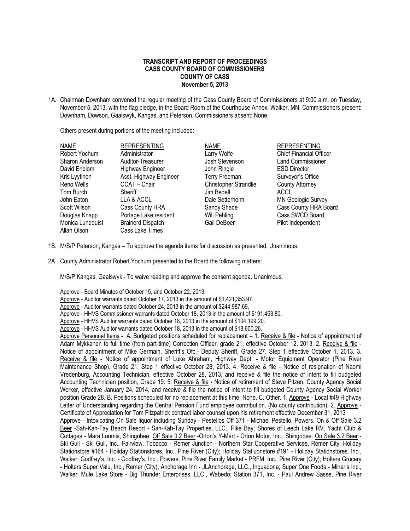## **TRANSCRIPT AND REPORT OF PROCEEDINGS CASS COUNTY BOARD OF COMMISSIONERS COUNTY OF CASS November 5, 2013**

1A. Chairman Downham convened the regular meeting of the Cass County Board of Commissioners at 9:00 a.m. on Tuesday, November 5, 2013, with the flag pledge, in the Board Room of the Courthouse Annex, Walker, MN. Commissioners present: Downham, Dowson, Gaalswyk, Kangas, and Peterson. Commissioners absent: None.

Others present during portions of the meeting included:

| <b>NAME</b>      | <b>REPRESENTING</b>      | <b>NAME</b>                  | <b>REPRESENTING</b>            |
|------------------|--------------------------|------------------------------|--------------------------------|
| Robert Yochum    | Administrator            | Larry Wolfe                  | <b>Chief Financial Officer</b> |
| Sharon Anderson  | Auditor-Treasurer        | Josh Stevenson               | <b>Land Commissioner</b>       |
| David Enblom     | <b>Highway Engineer</b>  | John Ringle                  | <b>ESD Director</b>            |
| Kris Lyytinen    | Asst. Highway Engineer   | <b>Terry Freeman</b>         | Surveyor's Office              |
| Reno Wells       | CCAT - Chair             | <b>Christopher Strandlie</b> | <b>County Attorney</b>         |
| Tom Burch        | Sheriff                  | Jim Bedell                   | ACCL                           |
| John Eaton       | LLA & ACCL               | Dale Setterholm              | <b>MN Geologic Survey</b>      |
| Scott Wilson     | Cass County HRA          | Sandy Shade                  | Cass County HRA Board          |
| Douglas Knapp    | Portage Lake resident    | Will Pehling                 | Cass SWCD Board                |
| Monica Lundquist | <b>Brainerd Dispatch</b> | Gail DeBoer                  | Pilot Independent              |
| Allan Olson      | Cass Lake Times          |                              |                                |

- 1B. M/S/P Peterson, Kangas To approve the agenda items for discussion as presented. Unanimous.
- 2A. County Administrator Robert Yochum presented to the Board the following matters:

M/S/P Kangas, Gaalswyk - To waive reading and approve the consent agenda. Unanimous.

Approve - Board Minutes of October 15, and October 22, 2013. Approve - Auditor warrants dated October 17, 2013 in the amount of \$1,421,353.97. Approve - Auditor warrants dated October 24, 2013 in the amount of \$244,987.69. Approve - HHVS Commissioner warrants dated October 18, 2013 in the amount of \$191,453.80. Approve - HHVS Auditor warrants dated October 18, 2013 in the amount of \$104,199.20. Approve - HHVS Auditor warrants dated October 18, 2013 in the amount of \$18,600.26. Approve Personnel Items - A. Budgeted positions scheduled for replacement – 1. Receive & file - Notice of appointment of Adam Mykkanen to full time (from part-time) Correction Officer, grade 21, effective October 12, 2013. 2. Receive & file - Notice of appointment of Mike Germain, Sheriff's Ofc.- Deputy Sheriff, Grade 27, Step 1 effective October 1, 2013. 3. Receive & file - Notice of appointment of Luke Abraham, Highway Dept. - Motor Equipment Operator (Pine River Maintenance Shop), Grade 21, Step 1 effective October 28, 2013. 4. Receive & file - Notice of resignation of Naomi Vredenburg, Accounting Technician, effective October 28, 2013, and receive & file the notice of intent to fill budgeted Accounting Technician position, Grade 19. 5. Receive & file - Notice of retirement of Steve Pitzen, County Agency Social Worker, effective January 24, 2014, and receive & file the notice of intent to fill budgeted County Agency Social Worker position Grade 28. B. Positions scheduled for no replacement at this time: None. C. Other. 1. Approve - Local #49 Highway Letter of Understanding regarding the Central Pension Fund employee contribution. (No county contribution). 2. Approve - Certificate of Appreciation for Tom Fitzpatrick contract labor counsel upon his retirement effective December 31, 2013 Approve - Intoxicating On Sale liquor including Sunday - Pestellos Off 371 - Michael Pestello, Powers. On & Off Sale 3.2 Beer -Sah-Kah-Tay Beach Resort - Sah-Kah-Tay Properties, LLC., Pike Bay; Shores of Leech Lake RV, Yacht Club & Cottages - Mara Loomis, Shingobee. Off Sale 3.2 Beer -Orton's Y-Mart - Orton Motor, Inc., Shingobee. On Sale 3.2 Beer - Ski Gull - Ski Gull, Inc., Fairview. Tobacco - Remer Junction - Northern Star Cooperative Services, Remer City; Holidav Stationstore #164 - Holiday Stationstores, Inc., Pine River (City); Holiday Statiuonstore #191 - Holiday Stationstores, Inc., Walker; Godfrey's, Inc. - Godfrey's, Inc., Powers; Pine River Family Market - PRFM, Inc., Pine River (City); Holters Grocery - Holters Super Valu, Inc., Remer (City); Anchorage Inn - JLAnchorage, LLC., Inguadona; Super One Foods - Miner's Inc., Walker; Mule Lake Store - Big Thunder Enterprises, LLC., Wabedo; Station 371, Inc. - Paul Andrew Sasse, Pine River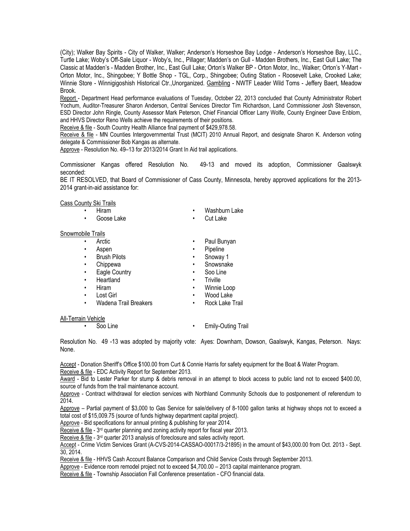(City); Walker Bay Spirits - City of Walker, Walker; Anderson's Horseshoe Bay Lodge - Anderson's Horseshoe Bay, LLC., Turtle Lake; Woby's Off-Sale Liquor - Woby's, Inc., Pillager; Madden's on Gull - Madden Brothers, Inc., East Gull Lake; The Classic at Madden's - Madden Brother, Inc., East Gull Lake; Orton's Walker BP - Orton Motor, Inc., Walker; Orton's Y-Mart - Orton Motor, Inc., Shingobee; Y Bottle Shop - TGL, Corp., Shingobee; Outing Station - Roosevelt Lake, Crooked Lake; Winnie Store - Winnigigoshish Historical Ctr.,Unorganized. Gambling - NWTF Leader Wild Toms - Jeffery Baert, Meadow Brook.

Report - Department Head performance evaluations of Tuesday, October 22, 2013 concluded that County Administrator Robert Yochum, Auditor-Treasurer Sharon Anderson, Central Services Director Tim Richardson, Land Commissioner Josh Stevenson, ESD Director John Ringle, County Assessor Mark Peterson, Chief Financial Officer Larry Wolfe, County Engineer Dave Enblom, and HHVS Director Reno Wells achieve the requirements of their positions.

Receive & file - South Country Health Alliance final payment of \$429,978.58.

Receive & file - MN Counties Intergovernmental Trust (MCIT) 2010 Annual Report, and designate Sharon K. Anderson voting delegate & Commissioner Bob Kangas as alternate.

Approve - Resolution No. 49–13 for 2013/2014 Grant In Aid trail applications.

Commissioner Kangas offered Resolution No. 49-13 and moved its adoption, Commissioner Gaalswyk seconded:

BE IT RESOLVED, that Board of Commissioner of Cass County, Minnesota, hereby approved applications for the 2013- 2014 grant-in-aid assistance for:

Cass County Ski Trails

- 
- 
- Hiram Washburn Lake
- Snowmobile Trails

All-Terrain Vehicle

- Arctic Paul Bunyan
- Aspen Pipeline
- Brush Pilots Snoway 1
- Chippewa Snowsnake
- **Eagle Country Soo Line**
- Heartland **•** Triville
- Hiram Winnie Loop
- Lost Girl Wood Lake
- 
- Wadena Trail Breakers Rock Lake Trail
- Soo Line Emily-Outing Trail

Resolution No. 49 -13 was adopted by majority vote: Ayes: Downham, Dowson, Gaalswyk, Kangas, Peterson. Nays: None.

Accept - Donation Sheriff's Office \$100.00 from Curt & Connie Harris for safety equipment for the Boat & Water Program. Receive & file - EDC Activity Report for September 2013.

Award - Bid to Lester Parker for stump & debris removal in an attempt to block access to public land not to exceed \$400.00, source of funds from the trail maintenance account.

Approve - Contract withdrawal for election services with Northland Community Schools due to postponement of referendum to 2014.

Approve – Partial payment of \$3,000 to Gas Service for sale/delivery of 8-1000 gallon tanks at highway shops not to exceed a total cost of \$15,009.75 (source of funds highway department capital project).

Approve - Bid specifications for annual printing & publishing for year 2014.

Receive & file - 3<sup>rd</sup> quarter planning and zoning activity report for fiscal year 2013.

Receive & file - 3<sup>rd</sup> quarter 2013 analysis of foreclosure and sales activity report.

Accept - Crime Victim Services Grant (A-CVS-2014-CASSAO-00017/3-21895) in the amount of \$43,000.00 from Oct. 2013 - Sept. 30, 2014.

Receive & file - HHVS Cash Account Balance Comparison and Child Service Costs through September 2013.

Approve - Evidence room remodel project not to exceed \$4,700.00 – 2013 capital maintenance program.

Receive & file - Township Association Fall Conference presentation - CFO financial data.

Goose Lake **•** Cut Lake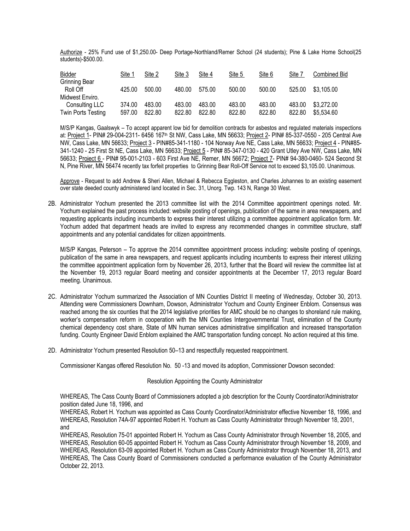Authorize - 25% Fund use of \$1,250.00- Deep Portage-Northland/Remer School (24 students); Pine & Lake Home School(25 students)-\$500.00.

| <b>Bidder</b>                    | Site 1 | Site 2 | Site 3 | Site 4 | Site 5 | Site 6 | Site 7 | <b>Combined Bid</b> |
|----------------------------------|--------|--------|--------|--------|--------|--------|--------|---------------------|
| <b>Grinning Bear</b><br>Roll Off | 425.00 | 500.00 | 480.00 | 575.00 | 500.00 | 500.00 | 525.00 | \$3,105.00          |
| Midwest Enviro.                  |        |        |        |        |        |        |        |                     |
| Consulting LLC                   | 374.00 | 483.00 | 483.00 | 483.00 | 483.00 | 483.00 | 483.00 | \$3,272.00          |
| Twin Ports Testing               | 597.00 | 822.80 | 822.80 | 822.80 | 822.80 | 822.80 | 822.80 | \$5,534.60          |

M/S/P Kangas, Gaalswyk – To accept apparent low bid for demolition contracts for asbestos and regulated materials inspections at: Project 1- PIN# 29-004-2311- 6456 167th St NW, Cass Lake, MN 56633; Project 2- PIN# 85-337-0550 - 205 Central Ave NW, Cass Lake, MN 56633; Project 3 - PIN#85-341-1180 - 104 Norway Ave NE, Cass Lake, MN 56633; Project 4 - PIN#85- 341-1240 - 25 First St NE, Cass Lake, MN 56633; Project 5 - PIN# 85-347-0130 - 420 Grant Utley Ave NW, Cass Lake, MN 56633; Project 6 - PIN# 95-001-2103 - 603 First Ave NE, Remer, MN 56672; Project 7- PIN# 94-380-0460- 524 Second St N, Pine River, MN 56474 recently tax forfeit properties to Grinning Bear Roll-Off Service not to exceed \$3,105.00. Unanimous.

Approve - Request to add Andrew & Sheri Allen, Michael & Rebecca Eggleston, and Charles Johannes to an existing easement over state deeded county administered land located in Sec. 31, Unorg. Twp. 143 N, Range 30 West.

2B. Administrator Yochum presented the 2013 committee list with the 2014 Committee appointment openings noted. Mr. Yochum explained the past process included: website posting of openings, publication of the same in area newspapers, and requesting applicants including incumbents to express their interest utilizing a committee appointment application form. Mr. Yochum added that department heads are invited to express any recommended changes in committee structure, staff appointments and any potential candidates for citizen appointments.

M/S/P Kangas, Peterson – To approve the 2014 committee appointment process including: website posting of openings, publication of the same in area newspapers, and request applicants including incumbents to express their interest utilizing the committee appointment application form by November 26, 2013, further that the Board will review the committee list at the November 19, 2013 regular Board meeting and consider appointments at the December 17, 2013 regular Board meeting. Unanimous.

- 2C. Administrator Yochum summarized the Association of MN Counties District II meeting of Wednesday, October 30, 2013. Attending were Commissioners Downham, Dowson, Administrator Yochum and County Engineer Enblom. Consensus was reached among the six counties that the 2014 legislative priorities for AMC should be no changes to shoreland rule making, worker's compensation reform in cooperation with the MN Counties Intergovernmental Trust, elimination of the County chemical dependency cost share, State of MN human services administrative simplification and increased transportation funding. County Engineer David Enblom explained the AMC transportation funding concept. No action required at this time.
- 2D. Administrator Yochum presented Resolution 50–13 and respectfully requested reappointment.

Commissioner Kangas offered Resolution No. 50 -13 and moved its adoption, Commissioner Dowson seconded:

## Resolution Appointing the County Administrator

WHEREAS, The Cass County Board of Commissioners adopted a job description for the County Coordinator/Administrator position dated June 18, 1996, and

WHEREAS, Robert H. Yochum was appointed as Cass County Coordinator/Administrator effective November 18, 1996, and WHEREAS, Resolution 74A-97 appointed Robert H. Yochum as Cass County Administrator through November 18, 2001, and

WHEREAS, Resolution 75-01 appointed Robert H. Yochum as Cass County Administrator through November 18, 2005, and WHEREAS, Resolution 60-05 appointed Robert H. Yochum as Cass County Administrator through November 18, 2009, and WHEREAS, Resolution 63-09 appointed Robert H. Yochum as Cass County Administrator through November 18, 2013, and WHEREAS, The Cass County Board of Commissioners conducted a performance evaluation of the County Administrator October 22, 2013.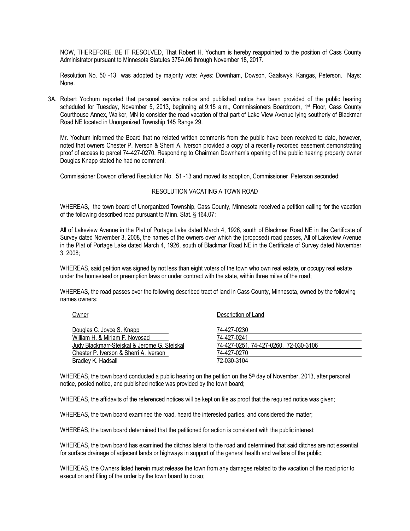NOW, THEREFORE, BE IT RESOLVED, That Robert H. Yochum is hereby reappointed to the position of Cass County Administrator pursuant to Minnesota Statutes 375A.06 through November 18, 2017.

Resolution No. 50 -13 was adopted by majority vote: Ayes: Downham, Dowson, Gaalswyk, Kangas, Peterson. Nays: None.

3A. Robert Yochum reported that personal service notice and published notice has been provided of the public hearing scheduled for Tuesday, November 5, 2013, beginning at 9:15 a.m., Commissioners Boardroom, 1st Floor, Cass County Courthouse Annex, Walker, MN to consider the road vacation of that part of Lake View Avenue lying southerly of Blackmar Road NE located in Unorganized Township 145 Range 29.

Mr. Yochum informed the Board that no related written comments from the public have been received to date, however, noted that owners Chester P. Iverson & Sherri A. Iverson provided a copy of a recently recorded easement demonstrating proof of access to parcel 74-427-0270. Responding to Chairman Downham's opening of the public hearing property owner Douglas Knapp stated he had no comment.

Commissioner Dowson offered Resolution No. 51 -13 and moved its adoption, Commissioner Peterson seconded:

## RESOLUTION VACATING A TOWN ROAD

WHEREAS, the town board of Unorganized Township, Cass County, Minnesota received a petition calling for the vacation of the following described road pursuant to Minn. Stat. § 164.07:

All of Lakeview Avenue in the Plat of Portage Lake dated March 4, 1926, south of Blackmar Road NE in the Certificate of Survey dated November 3, 2008, the names of the owners over which the (proposed) road passes, All of Lakeview Avenue in the Plat of Portage Lake dated March 4, 1926, south of Blackmar Road NE in the Certificate of Survey dated November 3, 2008;

WHEREAS, said petition was signed by not less than eight voters of the town who own real estate, or occupy real estate under the homestead or preemption laws or under contract with the state, within three miles of the road;

WHEREAS, the road passes over the following described tract of land in Cass County, Minnesota, owned by the following names owners:

| Owner                                        | Description of Land                   |
|----------------------------------------------|---------------------------------------|
| Douglas C. Joyce S. Knapp                    | 74-427-0230                           |
| William H. & Miriam F. Novosad               | 74-427-0241                           |
| Judy Blackmarr-Stejskal & Jerome G. Stejskal | 74-427-0251, 74-427-0260, 72-030-3106 |
| Chester P. Iverson & Sherri A. Iverson       | 74-427-0270                           |
| Bradlev K. Hadsall                           | 72-030-3104                           |
|                                              |                                       |

WHEREAS, the town board conducted a public hearing on the petition on the 5<sup>th</sup> day of November, 2013, after personal notice, posted notice, and published notice was provided by the town board;

WHEREAS, the affidavits of the referenced notices will be kept on file as proof that the required notice was given;

WHEREAS, the town board examined the road, heard the interested parties, and considered the matter;

WHEREAS, the town board determined that the petitioned for action is consistent with the public interest;

WHEREAS, the town board has examined the ditches lateral to the road and determined that said ditches are not essential for surface drainage of adjacent lands or highways in support of the general health and welfare of the public;

WHEREAS, the Owners listed herein must release the town from any damages related to the vacation of the road prior to execution and filing of the order by the town board to do so;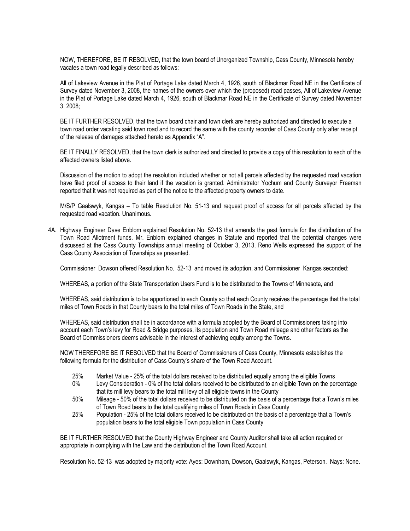NOW, THEREFORE, BE IT RESOLVED, that the town board of Unorganized Township, Cass County, Minnesota hereby vacates a town road legally described as follows:

All of Lakeview Avenue in the Plat of Portage Lake dated March 4, 1926, south of Blackmar Road NE in the Certificate of Survey dated November 3, 2008, the names of the owners over which the (proposed) road passes, All of Lakeview Avenue in the Plat of Portage Lake dated March 4, 1926, south of Blackmar Road NE in the Certificate of Survey dated November 3, 2008;

BE IT FURTHER RESOLVED, that the town board chair and town clerk are hereby authorized and directed to execute a town road order vacating said town road and to record the same with the county recorder of Cass County only after receipt of the release of damages attached hereto as Appendix "A".

BE IT FINALLY RESOLVED, that the town clerk is authorized and directed to provide a copy of this resolution to each of the affected owners listed above.

Discussion of the motion to adopt the resolution included whether or not all parcels affected by the requested road vacation have filed proof of access to their land if the vacation is granted. Administrator Yochum and County Surveyor Freeman reported that it was not required as part of the notice to the affected property owners to date.

M/S/P Gaalswyk, Kangas – To table Resolution No. 51-13 and request proof of access for all parcels affected by the requested road vacation. Unanimous.

4A. Highway Engineer Dave Enblom explained Resolution No. 52-13 that amends the past formula for the distribution of the Town Road Allotment funds. Mr. Enblom explained changes in Statute and reported that the potential changes were discussed at the Cass County Townships annual meeting of October 3, 2013. Reno Wells expressed the support of the Cass County Association of Townships as presented.

Commissioner Dowson offered Resolution No. 52-13 and moved its adoption, and Commissioner Kangas seconded:

WHEREAS, a portion of the State Transportation Users Fund is to be distributed to the Towns of Minnesota, and

WHEREAS, said distribution is to be apportioned to each County so that each County receives the percentage that the total miles of Town Roads in that County bears to the total miles of Town Roads in the State, and

WHEREAS, said distribution shall be in accordance with a formula adopted by the Board of Commissioners taking into account each Town's levy for Road & Bridge purposes, its population and Town Road mileage and other factors as the Board of Commissioners deems advisable in the interest of achieving equity among the Towns.

NOW THEREFORE BE IT RESOLVED that the Board of Commissioners of Cass County, Minnesota establishes the following formula for the distribution of Cass County's share of the Town Road Account.

- 25% Market Value 25% of the total dollars received to be distributed equally among the eligible Towns
- 0% Levy Consideration 0% of the total dollars received to be distributed to an eligible Town on the percentage that its mill levy bears to the total mill levy of all eligible towns in the County
- 50% Mileage 50% of the total dollars received to be distributed on the basis of a percentage that a Town's miles of Town Road bears to the total qualifying miles of Town Roads in Cass County
- 25% Population 25% of the total dollars received to be distributed on the basis of a percentage that a Town's population bears to the total eligible Town population in Cass County

BE IT FURTHER RESOLVED that the County Highway Engineer and County Auditor shall take all action required or appropriate in complying with the Law and the distribution of the Town Road Account.

Resolution No. 52-13 was adopted by majority vote: Ayes: Downham, Dowson, Gaalswyk, Kangas, Peterson. Nays: None.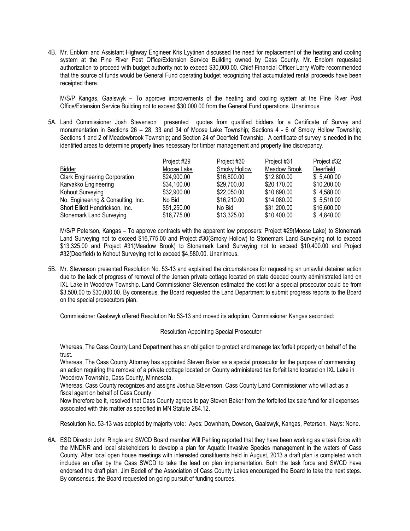4B. Mr. Enblom and Assistant Highway Engineer Kris Lyytinen discussed the need for replacement of the heating and cooling system at the Pine River Post Office/Extension Service Building owned by Cass County. Mr. Enblom requested authorization to proceed with budget authority not to exceed \$30,000.00. Chief Financial Officer Larry Wolfe recommended that the source of funds would be General Fund operating budget recognizing that accumulated rental proceeds have been receipted there.

M/S/P Kangas, Gaalswyk – To approve improvements of the heating and cooling system at the Pine River Post Office/Extension Service Building not to exceed \$30,000.00 from the General Fund operations. Unanimous.

5A. Land Commissioner Josh Stevenson presented quotes from qualified bidders for a Certificate of Survey and monumentation in Sections 26 – 28, 33 and 34 of Moose Lake Township; Sections 4 - 6 of Smoky Hollow Township; Sections 1 and 2 of Meadowbrook Township; and Section 24 of Deerfield Township. A certificate of survey is needed in the identified areas to determine property lines necessary for timber management and property line discrepancy.

|                                      | Project #29 | Project #30  | Project #31  | Project #32 |
|--------------------------------------|-------------|--------------|--------------|-------------|
| <b>Bidder</b>                        | Moose Lake  | Smoky Hollow | Meadow Brook | Deerfield   |
| <b>Clark Engineering Corporation</b> | \$24,900.00 | \$16,800.00  | \$12,800.00  | \$5,400.00  |
| Karvakko Engineering                 | \$34,100.00 | \$29,700.00  | \$20,170.00  | \$10,200.00 |
| Kohout Surveying                     | \$32,900.00 | \$22,050.00  | \$10,890.00  | \$4,580.00  |
| No. Engineering & Consulting, Inc.   | No Bid      | \$16,210,00  | \$14,080.00  | \$5,510.00  |
| Short Elliott Hendrickson, Inc.      | \$51,250.00 | No Bid       | \$31,200.00  | \$16,600.00 |
| Stonemark Land Surveying             | \$16,775.00 | \$13,325.00  | \$10,400.00  | \$4,840.00  |

M/S/P Peterson, Kangas – To approve contracts with the apparent low proposers: Project #29(Moose Lake) to Stonemark Land Surveying not to exceed \$16,775.00 and Project #30(Smoky Hollow) to Stonemark Land Surveying not to exceed \$13,325.00 and Project #31(Meadow Brook) to Stonemark Land Surveying not to exceed \$10,400.00 and Project #32(Deerfield) to Kohout Surveying not to exceed \$4,580.00. Unanimous.

5B. Mr. Stevenson presented Resolution No. 53-13 and explained the circumstances for requesting an unlawful detainer action due to the lack of progress of removal of the Jensen private cottage located on state deeded county administrated land on IXL Lake in Woodrow Township. Land Commissioner Stevenson estimated the cost for a special prosecutor could be from \$3,500.00 to \$30,000.00. By consensus, the Board requested the Land Department to submit progress reports to the Board on the special prosecutors plan.

Commissioner Gaalswyk offered Resolution No.53-13 and moved its adoption, Commissioner Kangas seconded:

## Resolution Appointing Special Prosecutor

Whereas, The Cass County Land Department has an obligation to protect and manage tax forfeit property on behalf of the trust.

Whereas, The Cass County Attorney has appointed Steven Baker as a special prosecutor for the purpose of commencing an action requiring the removal of a private cottage located on County administered tax forfeit land located on IXL Lake in Woodrow Township, Cass County, Minnesota.

Whereas, Cass County recognizes and assigns Joshua Stevenson, Cass County Land Commissioner who will act as a fiscal agent on behalf of Cass County

Now therefore be it, resolved that Cass County agrees to pay Steven Baker from the forfeited tax sale fund for all expenses associated with this matter as specified in MN Statute 284.12.

Resolution No. 53-13 was adopted by majority vote: Ayes: Downham, Dowson, Gaalswyk, Kangas, Peterson. Nays: None.

6A. ESD Director John Ringle and SWCD Board member Will Pehling reported that they have been working as a task force with the MNDNR and local stakeholders to develop a plan for Aquatic Invasive Species management in the waters of Cass County. After local open house meetings with interested constituents held in August, 2013 a draft plan is completed which includes an offer by the Cass SWCD to take the lead on plan implementation. Both the task force and SWCD have endorsed the draft plan. Jim Bedell of the Association of Cass County Lakes encouraged the Board to take the next steps. By consensus, the Board requested on going pursuit of funding sources.